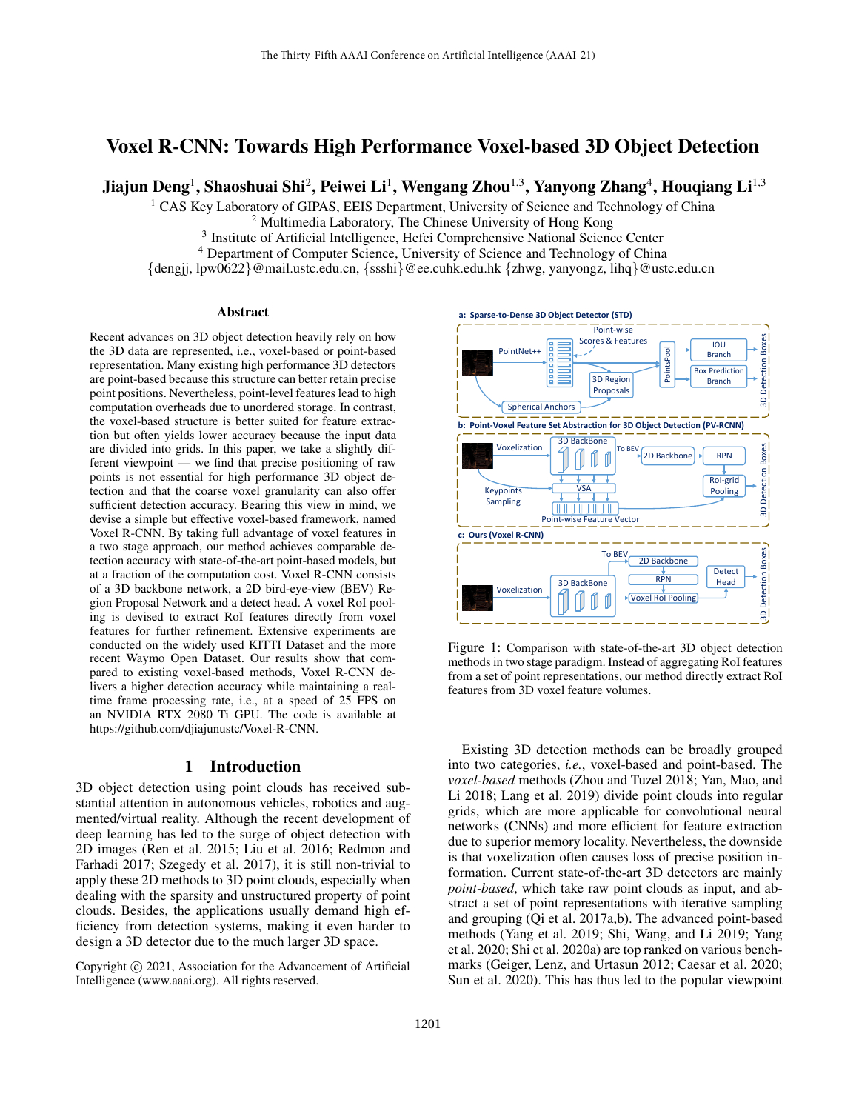# Voxel R-CNN: Towards High Performance Voxel-based 3D Object Detection

Jiajun Deng<sup>1</sup>, Shaoshuai Shi<sup>2</sup>, Peiwei Li<sup>1</sup>, Wengang Zhou<sup>1,3</sup>, Yanyong Zhang<sup>4</sup>, Houqiang Li<sup>1,3</sup>

<sup>1</sup> CAS Key Laboratory of GIPAS, EEIS Department, University of Science and Technology of China

<sup>2</sup> Multimedia Laboratory, The Chinese University of Hong Kong

<sup>3</sup> Institute of Artificial Intelligence, Hefei Comprehensive National Science Center

<sup>4</sup> Department of Computer Science, University of Science and Technology of China

{dengjj, lpw0622}@mail.ustc.edu.cn, {ssshi}@ee.cuhk.edu.hk {zhwg, yanyongz, lihq}@ustc.edu.cn

## Abstract

Recent advances on 3D object detection heavily rely on how the 3D data are represented, i.e., voxel-based or point-based representation. Many existing high performance 3D detectors are point-based because this structure can better retain precise point positions. Nevertheless, point-level features lead to high computation overheads due to unordered storage. In contrast, the voxel-based structure is better suited for feature extraction but often yields lower accuracy because the input data are divided into grids. In this paper, we take a slightly different viewpoint — we find that precise positioning of raw points is not essential for high performance 3D object detection and that the coarse voxel granularity can also offer sufficient detection accuracy. Bearing this view in mind, we devise a simple but effective voxel-based framework, named Voxel R-CNN. By taking full advantage of voxel features in a two stage approach, our method achieves comparable detection accuracy with state-of-the-art point-based models, but at a fraction of the computation cost. Voxel R-CNN consists of a 3D backbone network, a 2D bird-eye-view (BEV) Region Proposal Network and a detect head. A voxel RoI pooling is devised to extract RoI features directly from voxel features for further refinement. Extensive experiments are conducted on the widely used KITTI Dataset and the more recent Waymo Open Dataset. Our results show that compared to existing voxel-based methods, Voxel R-CNN delivers a higher detection accuracy while maintaining a realtime frame processing rate, i.e., at a speed of 25 FPS on an NVIDIA RTX 2080 Ti GPU. The code is available at https://github.com/djiajunustc/Voxel-R-CNN.

# 1 Introduction

3D object detection using point clouds has received substantial attention in autonomous vehicles, robotics and augmented/virtual reality. Although the recent development of deep learning has led to the surge of object detection with 2D images (Ren et al. 2015; Liu et al. 2016; Redmon and Farhadi 2017; Szegedy et al. 2017), it is still non-trivial to apply these 2D methods to 3D point clouds, especially when dealing with the sparsity and unstructured property of point clouds. Besides, the applications usually demand high efficiency from detection systems, making it even harder to design a 3D detector due to the much larger 3D space.



Figure 1: Comparison with state-of-the-art 3D object detection methods in two stage paradigm. Instead of aggregating RoI features from a set of point representations, our method directly extract RoI features from 3D voxel feature volumes.

Existing 3D detection methods can be broadly grouped into two categories, *i.e.*, voxel-based and point-based. The *voxel-based* methods (Zhou and Tuzel 2018; Yan, Mao, and Li 2018; Lang et al. 2019) divide point clouds into regular grids, which are more applicable for convolutional neural networks (CNNs) and more efficient for feature extraction due to superior memory locality. Nevertheless, the downside is that voxelization often causes loss of precise position information. Current state-of-the-art 3D detectors are mainly *point-based*, which take raw point clouds as input, and abstract a set of point representations with iterative sampling and grouping (Qi et al. 2017a,b). The advanced point-based methods (Yang et al. 2019; Shi, Wang, and Li 2019; Yang et al. 2020; Shi et al. 2020a) are top ranked on various benchmarks (Geiger, Lenz, and Urtasun 2012; Caesar et al. 2020; Sun et al. 2020). This has thus led to the popular viewpoint

Copyright (c) 2021, Association for the Advancement of Artificial Intelligence (www.aaai.org). All rights reserved.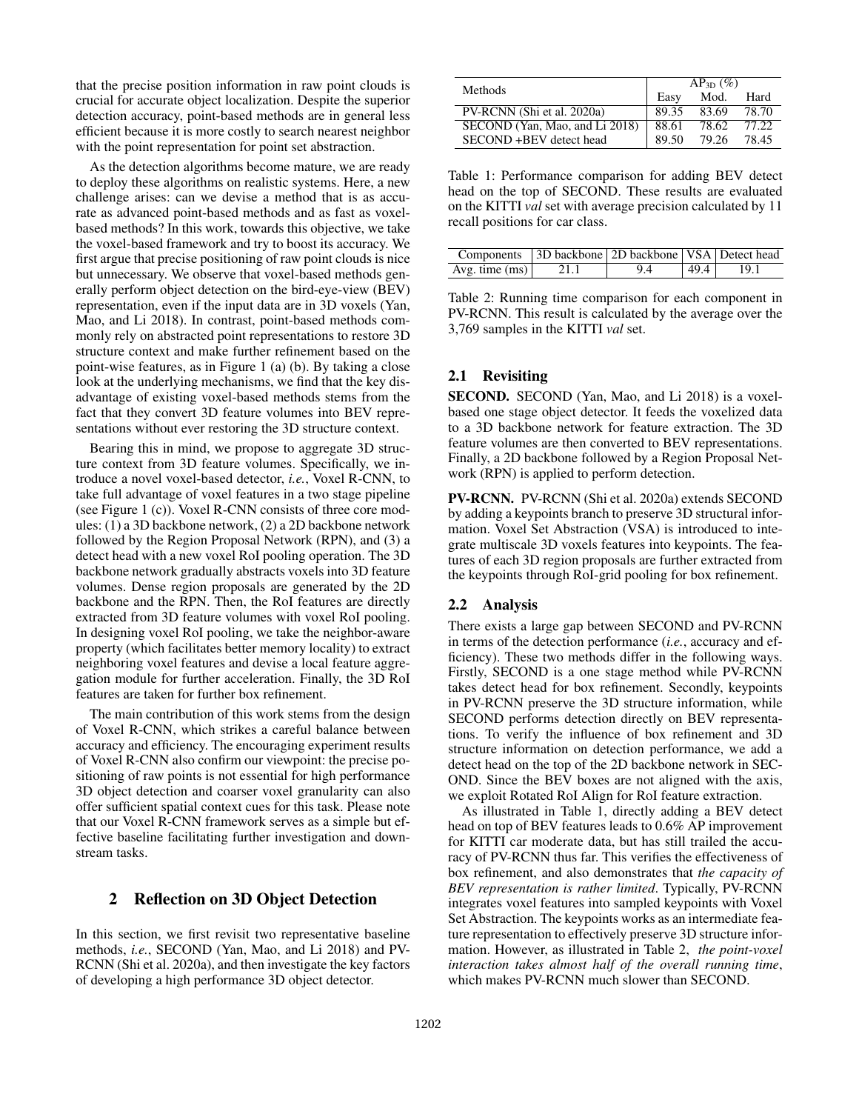that the precise position information in raw point clouds is crucial for accurate object localization. Despite the superior detection accuracy, point-based methods are in general less efficient because it is more costly to search nearest neighbor with the point representation for point set abstraction.

As the detection algorithms become mature, we are ready to deploy these algorithms on realistic systems. Here, a new challenge arises: can we devise a method that is as accurate as advanced point-based methods and as fast as voxelbased methods? In this work, towards this objective, we take the voxel-based framework and try to boost its accuracy. We first argue that precise positioning of raw point clouds is nice but unnecessary. We observe that voxel-based methods generally perform object detection on the bird-eye-view (BEV) representation, even if the input data are in 3D voxels (Yan, Mao, and Li 2018). In contrast, point-based methods commonly rely on abstracted point representations to restore 3D structure context and make further refinement based on the point-wise features, as in Figure 1 (a) (b). By taking a close look at the underlying mechanisms, we find that the key disadvantage of existing voxel-based methods stems from the fact that they convert 3D feature volumes into BEV representations without ever restoring the 3D structure context.

Bearing this in mind, we propose to aggregate 3D structure context from 3D feature volumes. Specifically, we introduce a novel voxel-based detector, *i.e.*, Voxel R-CNN, to take full advantage of voxel features in a two stage pipeline (see Figure 1 (c)). Voxel R-CNN consists of three core modules: (1) a 3D backbone network, (2) a 2D backbone network followed by the Region Proposal Network (RPN), and (3) a detect head with a new voxel RoI pooling operation. The 3D backbone network gradually abstracts voxels into 3D feature volumes. Dense region proposals are generated by the 2D backbone and the RPN. Then, the RoI features are directly extracted from 3D feature volumes with voxel RoI pooling. In designing voxel RoI pooling, we take the neighbor-aware property (which facilitates better memory locality) to extract neighboring voxel features and devise a local feature aggregation module for further acceleration. Finally, the 3D RoI features are taken for further box refinement.

The main contribution of this work stems from the design of Voxel R-CNN, which strikes a careful balance between accuracy and efficiency. The encouraging experiment results of Voxel R-CNN also confirm our viewpoint: the precise positioning of raw points is not essential for high performance 3D object detection and coarser voxel granularity can also offer sufficient spatial context cues for this task. Please note that our Voxel R-CNN framework serves as a simple but effective baseline facilitating further investigation and downstream tasks.

# 2 Reflection on 3D Object Detection

In this section, we first revisit two representative baseline methods, *i.e.*, SECOND (Yan, Mao, and Li 2018) and PV-RCNN (Shi et al. 2020a), and then investigate the key factors of developing a high performance 3D object detector.

| <b>Methods</b>                 | $AP_{3D} (\%)$ |       |       |  |
|--------------------------------|----------------|-------|-------|--|
|                                | Easy           | Mod.  | Hard  |  |
| PV-RCNN (Shi et al. 2020a)     | 89.35          | 83.69 | 78.70 |  |
| SECOND (Yan, Mao, and Li 2018) | 88.61          | 78.62 | 77.22 |  |
| SECOND+BEV detect head         | 89.50          | 79.26 | 78.45 |  |

Table 1: Performance comparison for adding BEV detect head on the top of SECOND. These results are evaluated on the KITTI *val* set with average precision calculated by 11 recall positions for car class.

|                  | Components 3D backbone 2D backbone VSA Detect head |    |      |  |
|------------------|----------------------------------------------------|----|------|--|
| Avg. time $(ms)$ | 21.1                                               | 94 | 49.4 |  |

Table 2: Running time comparison for each component in PV-RCNN. This result is calculated by the average over the 3,769 samples in the KITTI *val* set.

# 2.1 Revisiting

SECOND. SECOND (Yan, Mao, and Li 2018) is a voxelbased one stage object detector. It feeds the voxelized data to a 3D backbone network for feature extraction. The 3D feature volumes are then converted to BEV representations. Finally, a 2D backbone followed by a Region Proposal Network (RPN) is applied to perform detection.

PV-RCNN. PV-RCNN (Shi et al. 2020a) extends SECOND by adding a keypoints branch to preserve 3D structural information. Voxel Set Abstraction (VSA) is introduced to integrate multiscale 3D voxels features into keypoints. The features of each 3D region proposals are further extracted from the keypoints through RoI-grid pooling for box refinement.

### 2.2 Analysis

There exists a large gap between SECOND and PV-RCNN in terms of the detection performance (*i.e.*, accuracy and efficiency). These two methods differ in the following ways. Firstly, SECOND is a one stage method while PV-RCNN takes detect head for box refinement. Secondly, keypoints in PV-RCNN preserve the 3D structure information, while SECOND performs detection directly on BEV representations. To verify the influence of box refinement and 3D structure information on detection performance, we add a detect head on the top of the 2D backbone network in SEC-OND. Since the BEV boxes are not aligned with the axis, we exploit Rotated RoI Align for RoI feature extraction.

As illustrated in Table 1, directly adding a BEV detect head on top of BEV features leads to 0.6% AP improvement for KITTI car moderate data, but has still trailed the accuracy of PV-RCNN thus far. This verifies the effectiveness of box refinement, and also demonstrates that *the capacity of BEV representation is rather limited*. Typically, PV-RCNN integrates voxel features into sampled keypoints with Voxel Set Abstraction. The keypoints works as an intermediate feature representation to effectively preserve 3D structure information. However, as illustrated in Table 2, *the point-voxel interaction takes almost half of the overall running time*, which makes PV-RCNN much slower than SECOND.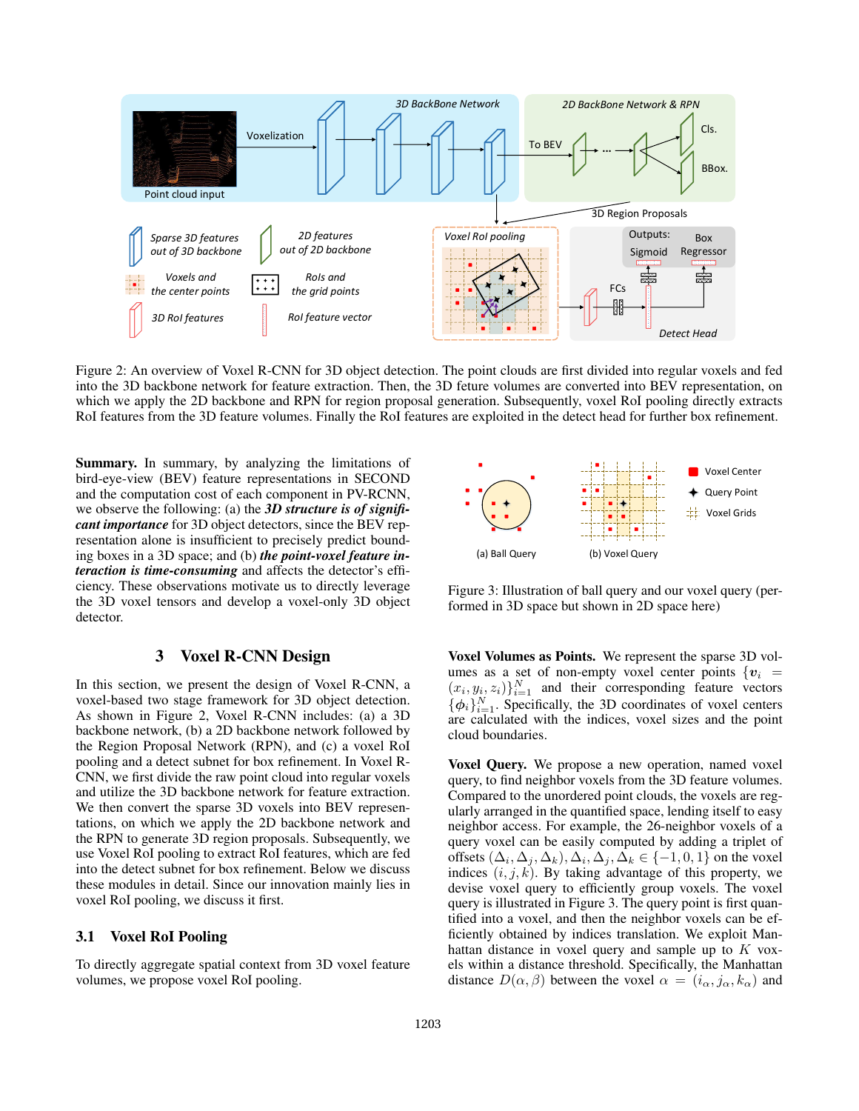

Figure 2: An overview of Voxel R-CNN for 3D object detection. The point clouds are first divided into regular voxels and fed into the 3D backbone network for feature extraction. Then, the 3D feture volumes are converted into BEV representation, on which we apply the 2D backbone and RPN for region proposal generation. Subsequently, voxel RoI pooling directly extracts RoI features from the 3D feature volumes. Finally the RoI features are exploited in the detect head for further box refinement.

Summary. In summary, by analyzing the limitations of bird-eye-view (BEV) feature representations in SECOND and the computation cost of each component in PV-RCNN, we observe the following: (a) the *3D structure is of significant importance* for 3D object detectors, since the BEV representation alone is insufficient to precisely predict bounding boxes in a 3D space; and (b) *the point-voxel feature interaction is time-consuming* and affects the detector's efficiency. These observations motivate us to directly leverage the 3D voxel tensors and develop a voxel-only 3D object detector.

# 3 Voxel R-CNN Design

In this section, we present the design of Voxel R-CNN, a voxel-based two stage framework for 3D object detection. As shown in Figure 2, Voxel R-CNN includes: (a) a 3D backbone network, (b) a 2D backbone network followed by the Region Proposal Network (RPN), and (c) a voxel RoI pooling and a detect subnet for box refinement. In Voxel R-CNN, we first divide the raw point cloud into regular voxels and utilize the 3D backbone network for feature extraction. We then convert the sparse 3D voxels into BEV representations, on which we apply the 2D backbone network and the RPN to generate 3D region proposals. Subsequently, we use Voxel RoI pooling to extract RoI features, which are fed into the detect subnet for box refinement. Below we discuss these modules in detail. Since our innovation mainly lies in voxel RoI pooling, we discuss it first.

## 3.1 Voxel RoI Pooling

To directly aggregate spatial context from 3D voxel feature volumes, we propose voxel RoI pooling.



Figure 3: Illustration of ball query and our voxel query (performed in 3D space but shown in 2D space here)

Voxel Volumes as Points. We represent the sparse 3D volumes as a set of non-empty voxel center points  $\{v_i =$  $(x_i, y_i, z_i)$ <sub>i=1</sub> and their corresponding feature vectors  $\{\phi_i\}_{i=1}^N$ . Specifically, the 3D coordinates of voxel centers are calculated with the indices, voxel sizes and the point cloud boundaries.

Voxel Query. We propose a new operation, named voxel query, to find neighbor voxels from the 3D feature volumes. Compared to the unordered point clouds, the voxels are regularly arranged in the quantified space, lending itself to easy neighbor access. For example, the 26-neighbor voxels of a query voxel can be easily computed by adding a triplet of offsets  $(\Delta_i, \Delta_j, \Delta_k), \Delta_i, \Delta_j, \Delta_k \in \{-1, 0, 1\}$  on the voxel indices  $(i, j, k)$ . By taking advantage of this property, we devise voxel query to efficiently group voxels. The voxel query is illustrated in Figure 3. The query point is first quantified into a voxel, and then the neighbor voxels can be efficiently obtained by indices translation. We exploit Manhattan distance in voxel query and sample up to  $K$  voxels within a distance threshold. Specifically, the Manhattan distance  $D(\alpha, \beta)$  between the voxel  $\alpha = (i_{\alpha}, j_{\alpha}, k_{\alpha})$  and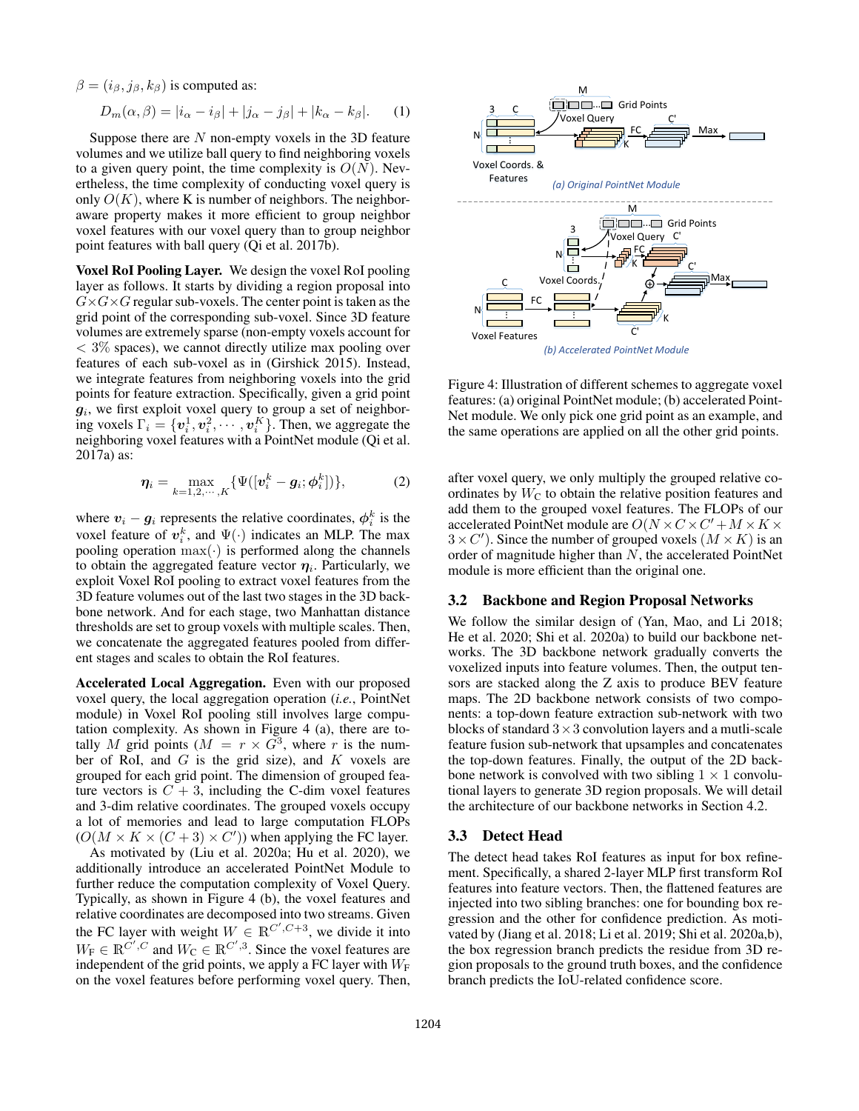$\beta = (i_{\beta}, j_{\beta}, k_{\beta})$  is computed as:

$$
D_m(\alpha, \beta) = |i_\alpha - i_\beta| + |j_\alpha - j_\beta| + |k_\alpha - k_\beta|.
$$
 (1)

Suppose there are  $N$  non-empty voxels in the 3D feature volumes and we utilize ball query to find neighboring voxels to a given query point, the time complexity is  $O(N)$ . Nevertheless, the time complexity of conducting voxel query is only  $O(K)$ , where K is number of neighbors. The neighboraware property makes it more efficient to group neighbor voxel features with our voxel query than to group neighbor point features with ball query (Qi et al. 2017b).

Voxel RoI Pooling Layer. We design the voxel RoI pooling layer as follows. It starts by dividing a region proposal into  $G\times G\times G$  regular sub-voxels. The center point is taken as the grid point of the corresponding sub-voxel. Since 3D feature volumes are extremely sparse (non-empty voxels account for  $<$  3% spaces), we cannot directly utilize max pooling over features of each sub-voxel as in (Girshick 2015). Instead, we integrate features from neighboring voxels into the grid points for feature extraction. Specifically, given a grid point  $g_i$ , we first exploit voxel query to group a set of neighboring voxels  $\Gamma_i = \{v_i^1, v_i^2, \cdots, v_i^K\}$ . Then, we aggregate the neighboring voxel features with a PointNet module (Qi et al. 2017a) as:

$$
\boldsymbol{\eta}_i = \max_{k=1,2,\cdots,K} \{ \Psi([\boldsymbol{v}_i^k - \boldsymbol{g}_i; \boldsymbol{\phi}_i^k]) \},\tag{2}
$$

where  $v_i - g_i$  represents the relative coordinates,  $\phi_i^k$  is the voxel feature of  $v_i^k$ , and  $\Psi(\cdot)$  indicates an MLP. The max pooling operation  $max(\cdot)$  is performed along the channels to obtain the aggregated feature vector  $\eta_i$ . Particularly, we exploit Voxel RoI pooling to extract voxel features from the 3D feature volumes out of the last two stages in the 3D backbone network. And for each stage, two Manhattan distance thresholds are set to group voxels with multiple scales. Then, we concatenate the aggregated features pooled from different stages and scales to obtain the RoI features.

Accelerated Local Aggregation. Even with our proposed voxel query, the local aggregation operation (*i.e.*, PointNet module) in Voxel RoI pooling still involves large computation complexity. As shown in Figure 4 (a), there are totally M grid points ( $M = r \times \overline{G}^3$ , where r is the number of RoI, and  $G$  is the grid size), and  $K$  voxels are grouped for each grid point. The dimension of grouped feature vectors is  $C + 3$ , including the C-dim voxel features and 3-dim relative coordinates. The grouped voxels occupy a lot of memories and lead to large computation FLOPs  $(O(M \times K \times (C + 3) \times C'))$  when applying the FC layer.

As motivated by (Liu et al. 2020a; Hu et al. 2020), we additionally introduce an accelerated PointNet Module to further reduce the computation complexity of Voxel Query. Typically, as shown in Figure 4 (b), the voxel features and relative coordinates are decomposed into two streams. Given the FC layer with weight  $W \in \mathbb{R}^{C', C+3}$ , we divide it into  $W_{\text{F}} \in \mathbb{R}^{\tilde{C}',C}$  and  $W_{\text{C}} \in \mathbb{R}^{\tilde{C}',3}$ . Since the voxel features are independent of the grid points, we apply a FC layer with  $W_F$ on the voxel features before performing voxel query. Then,



Figure 4: Illustration of different schemes to aggregate voxel features: (a) original PointNet module; (b) accelerated Point-Net module. We only pick one grid point as an example, and the same operations are applied on all the other grid points.

after voxel query, we only multiply the grouped relative coordinates by  $W<sub>C</sub>$  to obtain the relative position features and add them to the grouped voxel features. The FLOPs of our accelerated PointNet module are  $O(N \times C \times C' + M \times K \times C')$  $3 \times C'$ ). Since the number of grouped voxels  $(M \times K)$  is an order of magnitude higher than N, the accelerated PointNet module is more efficient than the original one.

# 3.2 Backbone and Region Proposal Networks

We follow the similar design of (Yan, Mao, and Li 2018; He et al. 2020; Shi et al. 2020a) to build our backbone networks. The 3D backbone network gradually converts the voxelized inputs into feature volumes. Then, the output tensors are stacked along the Z axis to produce BEV feature maps. The 2D backbone network consists of two components: a top-down feature extraction sub-network with two blocks of standard  $3 \times 3$  convolution layers and a mutli-scale feature fusion sub-network that upsamples and concatenates the top-down features. Finally, the output of the 2D backbone network is convolved with two sibling  $1 \times 1$  convolutional layers to generate 3D region proposals. We will detail the architecture of our backbone networks in Section 4.2.

### 3.3 Detect Head

The detect head takes RoI features as input for box refinement. Specifically, a shared 2-layer MLP first transform RoI features into feature vectors. Then, the flattened features are injected into two sibling branches: one for bounding box regression and the other for confidence prediction. As motivated by (Jiang et al. 2018; Li et al. 2019; Shi et al. 2020a,b), the box regression branch predicts the residue from 3D region proposals to the ground truth boxes, and the confidence branch predicts the IoU-related confidence score.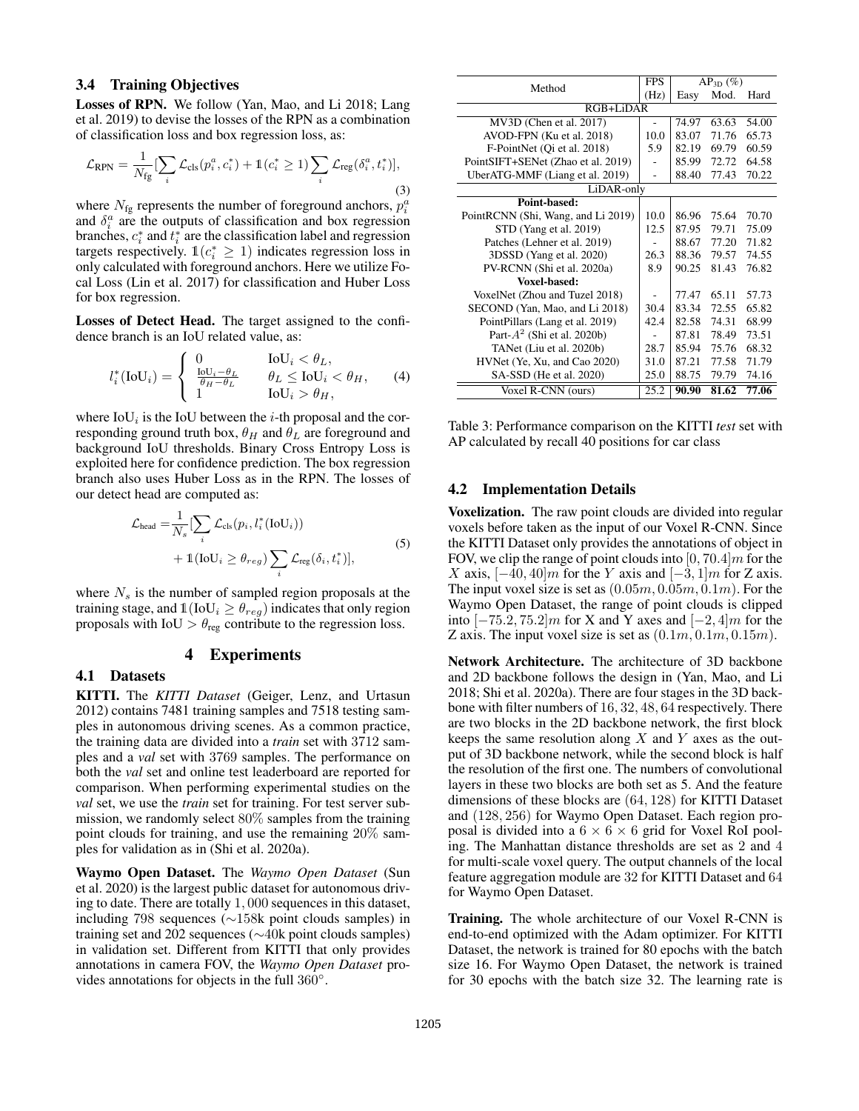## 3.4 Training Objectives

Losses of RPN. We follow (Yan, Mao, and Li 2018; Lang et al. 2019) to devise the losses of the RPN as a combination of classification loss and box regression loss, as:

$$
\mathcal{L}_{\text{RPN}} = \frac{1}{N_{\text{fg}}} \left[ \sum_{i} \mathcal{L}_{\text{cls}}(p_i^a, c_i^*) + \mathbb{1}(c_i^* \ge 1) \sum_{i} \mathcal{L}_{\text{reg}}(\delta_i^a, t_i^*) \right],\tag{3}
$$

where  $N_{fg}$  represents the number of foreground anchors,  $p_i^a$ and  $\delta_i^a$  are the outputs of classification and box regression branches,  $c_i^*$  and  $t_i^*$  are the classification label and regression targets respectively.  $\mathbb{1}(c_i^* \geq 1)$  indicates regression loss in only calculated with foreground anchors. Here we utilize Focal Loss (Lin et al. 2017) for classification and Huber Loss for box regression.

Losses of Detect Head. The target assigned to the confidence branch is an IoU related value, as:

$$
l_i^*(IoU_i) = \begin{cases} 0 & IoU_i < \theta_L, \\ \frac{IoU_i - \theta_L}{\theta_H - \theta_L} & \theta_L \leq IoU_i < \theta_H, \\ 1 & IoU_i > \theta_H, \end{cases}
$$
 (4)

where  $IoU_i$  is the  $IoU$  between the *i*-th proposal and the corresponding ground truth box,  $\theta_H$  and  $\theta_L$  are foreground and background IoU thresholds. Binary Cross Entropy Loss is exploited here for confidence prediction. The box regression branch also uses Huber Loss as in the RPN. The losses of our detect head are computed as:

$$
\mathcal{L}_{\text{head}} = \frac{1}{N_s} \left[ \sum_i \mathcal{L}_{\text{cls}}(p_i, l_i^*(\text{IoU}_i)) + \mathbb{1}(\text{IoU}_i \ge \theta_{reg}) \sum_i \mathcal{L}_{\text{reg}}(\delta_i, t_i^*) \right],\tag{5}
$$

where  $N_s$  is the number of sampled region proposals at the training stage, and  $\mathbb{1}(\text{IoU}_i \geq \theta_{reg})$  indicates that only region proposals with IoU  $> \theta_{\text{reg}}$  contribute to the regression loss.

## 4 Experiments

### 4.1 Datasets

KITTI. The *KITTI Dataset* (Geiger, Lenz, and Urtasun 2012) contains 7481 training samples and 7518 testing samples in autonomous driving scenes. As a common practice, the training data are divided into a *train* set with 3712 samples and a *val* set with 3769 samples. The performance on both the *val* set and online test leaderboard are reported for comparison. When performing experimental studies on the *val* set, we use the *train* set for training. For test server submission, we randomly select 80% samples from the training point clouds for training, and use the remaining 20% samples for validation as in (Shi et al. 2020a).

Waymo Open Dataset. The *Waymo Open Dataset* (Sun et al. 2020) is the largest public dataset for autonomous driving to date. There are totally 1, 000 sequences in this dataset, including 798 sequences (∼158k point clouds samples) in training set and 202 sequences (∼40k point clouds samples) in validation set. Different from KITTI that only provides annotations in camera FOV, the *Waymo Open Dataset* provides annotations for objects in the full  $360^\circ$ .

|                                    | <b>FPS</b> |       |                |       |  |
|------------------------------------|------------|-------|----------------|-------|--|
| Method                             |            |       | $AP_{3D} (\%)$ |       |  |
|                                    |            | Easy  | Mod.           | Hard  |  |
| RGB+LiDAR                          |            |       |                |       |  |
| MV3D (Chen et al. 2017)            |            | 74.97 | 63.63          | 54.00 |  |
| AVOD-FPN (Ku et al. 2018)          | 10.0       | 83.07 | 71.76          | 65.73 |  |
| F-PointNet (Qi et al. 2018)        | 5.9        | 82.19 | 69.79          | 60.59 |  |
| PointSIFT+SENet (Zhao et al. 2019) |            | 85.99 | 72.72          | 64.58 |  |
| UberATG-MMF (Liang et al. 2019)    |            | 88.40 | 77.43          | 70.22 |  |
| LiDAR-only                         |            |       |                |       |  |
| Point-based:                       |            |       |                |       |  |
| PointRCNN (Shi, Wang, and Li 2019) | 10.0       | 86.96 | 75.64          | 70.70 |  |
| STD (Yang et al. 2019)             | 12.5       | 87.95 | 79.71          | 75.09 |  |
| Patches (Lehner et al. 2019)       |            | 88.67 | 77.20          | 71.82 |  |
| 3DSSD (Yang et al. 2020)           | 26.3       | 88.36 | 79.57          | 74.55 |  |
| PV-RCNN (Shi et al. 2020a)         | 8.9        | 90.25 | 81.43          | 76.82 |  |
| Voxel-based:                       |            |       |                |       |  |
| VoxelNet (Zhou and Tuzel 2018)     |            | 77.47 | 65.11          | 57.73 |  |
| SECOND (Yan, Mao, and Li 2018)     | 30.4       | 83.34 | 72.55          | 65.82 |  |
| PointPillars (Lang et al. 2019)    | 42.4       | 82.58 | 74.31          | 68.99 |  |
| Part- $A^2$ (Shi et al. 2020b)     |            | 87.81 | 78.49          | 73.51 |  |
| TANet (Liu et al. 2020b)           | 28.7       | 85.94 | 75.76          | 68.32 |  |
| HVNet (Ye, Xu, and Cao 2020)       | 31.0       | 87.21 | 77.58          | 71.79 |  |
| SA-SSD (He et al. 2020)            | 25.0       | 88.75 | 79.79          | 74.16 |  |
| Voxel R-CNN (ours)                 | 25.2       | 90.90 | 81.62          | 77.06 |  |

Table 3: Performance comparison on the KITTI *test* set with AP calculated by recall 40 positions for car class

### 4.2 Implementation Details

Voxelization. The raw point clouds are divided into regular voxels before taken as the input of our Voxel R-CNN. Since the KITTI Dataset only provides the annotations of object in FOV, we clip the range of point clouds into  $[0, 70.4]$ m for the X axis,  $[-40, 40]$ m for the Y axis and  $[-3, 1]$ m for Z axis. The input voxel size is set as  $(0.05m, 0.05m, 0.1m)$ . For the Waymo Open Dataset, the range of point clouds is clipped into  $[-75.2, 75.2]$ m for X and Y axes and  $[-2, 4]$ m for the Z axis. The input voxel size is set as  $(0.1m, 0.1m, 0.15m)$ .

Network Architecture. The architecture of 3D backbone and 2D backbone follows the design in (Yan, Mao, and Li 2018; Shi et al. 2020a). There are four stages in the 3D backbone with filter numbers of 16, 32, 48, 64 respectively. There are two blocks in the 2D backbone network, the first block keeps the same resolution along  $X$  and  $Y$  axes as the output of 3D backbone network, while the second block is half the resolution of the first one. The numbers of convolutional layers in these two blocks are both set as 5. And the feature dimensions of these blocks are (64, 128) for KITTI Dataset and (128, 256) for Waymo Open Dataset. Each region proposal is divided into a  $6 \times 6 \times 6$  grid for Voxel RoI pooling. The Manhattan distance thresholds are set as 2 and 4 for multi-scale voxel query. The output channels of the local feature aggregation module are 32 for KITTI Dataset and 64 for Waymo Open Dataset.

Training. The whole architecture of our Voxel R-CNN is end-to-end optimized with the Adam optimizer. For KITTI Dataset, the network is trained for 80 epochs with the batch size 16. For Waymo Open Dataset, the network is trained for 30 epochs with the batch size 32. The learning rate is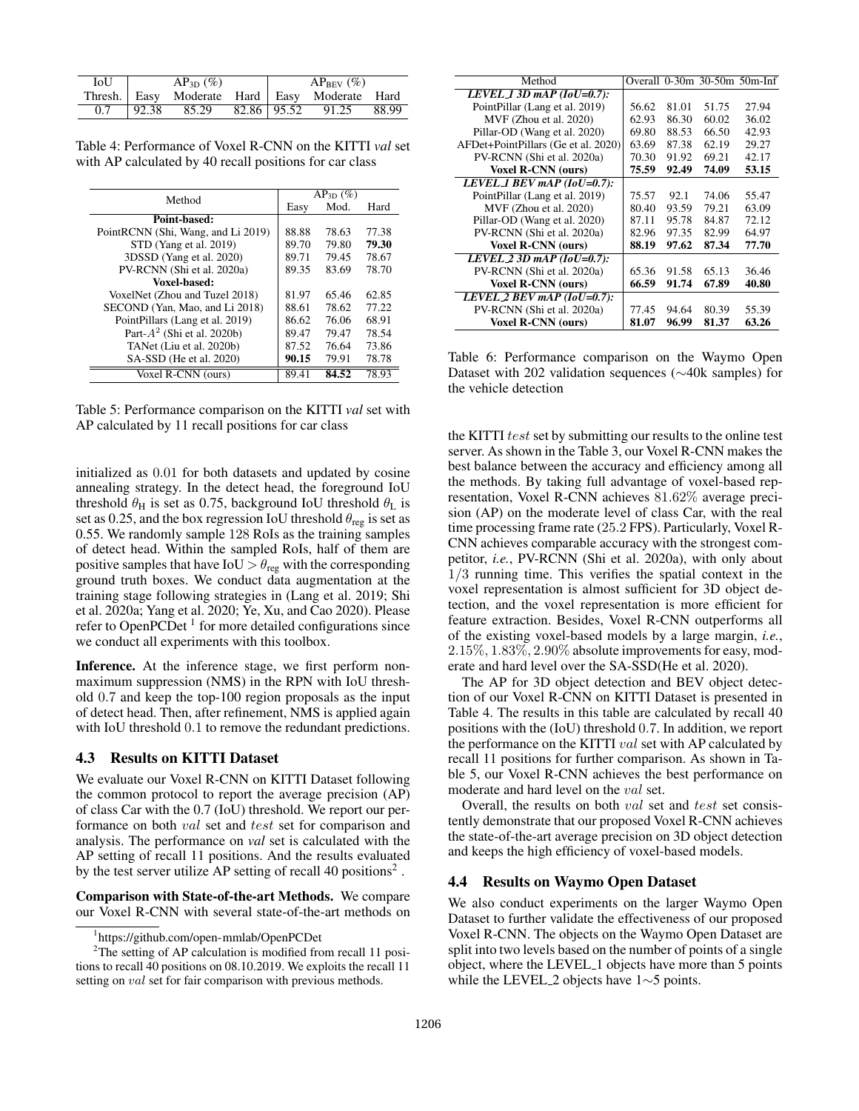| <b>IoU</b> | $AP_{3D} (\%)$ |  | $AP_{BEV}$ (%)                                |       |
|------------|----------------|--|-----------------------------------------------|-------|
|            |                |  | Thresh. Easy Moderate Hard Easy Moderate Hard |       |
|            |                |  | $0.7$   92.38 85.29 82.86   95.52 91.25       | 88.99 |

Table 4: Performance of Voxel R-CNN on the KITTI *val* set with AP calculated by 40 recall positions for car class

|                                    |       | $AP_{3D} (\%)$ |       |
|------------------------------------|-------|----------------|-------|
| Method                             | Easy  | Mod.           | Hard  |
| Point-based:                       |       |                |       |
| PointRCNN (Shi, Wang, and Li 2019) | 88.88 | 78.63          | 77.38 |
| STD (Yang et al. 2019)             | 89.70 | 79.80          | 79.30 |
| 3DSSD (Yang et al. 2020)           | 89.71 | 79.45          | 78.67 |
| PV-RCNN (Shi et al. 2020a)         | 89.35 | 83.69          | 78.70 |
| Voxel-based:                       |       |                |       |
| VoxelNet (Zhou and Tuzel 2018)     | 81.97 | 65.46          | 62.85 |
| SECOND (Yan, Mao, and Li 2018)     | 88.61 | 78.62          | 77.22 |
| PointPillars (Lang et al. 2019)    | 86.62 | 76.06          | 68.91 |
| Part- $A2$ (Shi et al. 2020b)      | 89.47 | 79.47          | 78.54 |
| TANet (Liu et al. 2020b)           | 87.52 | 76.64          | 73.86 |
| SA-SSD (He et al. 2020)            | 90.15 | 79.91          | 78.78 |
| Voxel R-CNN (ours)                 | 89.41 | 84.52          | 78.93 |

Table 5: Performance comparison on the KITTI *val* set with AP calculated by 11 recall positions for car class

initialized as 0.01 for both datasets and updated by cosine annealing strategy. In the detect head, the foreground IoU threshold  $\theta_H$  is set as 0.75, background IoU threshold  $\theta_L$  is set as 0.25, and the box regression IoU threshold  $\theta_{reg}$  is set as 0.55. We randomly sample 128 RoIs as the training samples of detect head. Within the sampled RoIs, half of them are positive samples that have  $IoU > \theta_{\text{reg}}$  with the corresponding ground truth boxes. We conduct data augmentation at the training stage following strategies in (Lang et al. 2019; Shi et al. 2020a; Yang et al. 2020; Ye, Xu, and Cao 2020). Please refer to OpenPCDet<sup>1</sup> for more detailed configurations since we conduct all experiments with this toolbox.

Inference. At the inference stage, we first perform nonmaximum suppression (NMS) in the RPN with IoU threshold 0.7 and keep the top-100 region proposals as the input of detect head. Then, after refinement, NMS is applied again with IoU threshold  $0.1$  to remove the redundant predictions.

## 4.3 Results on KITTI Dataset

We evaluate our Voxel R-CNN on KITTI Dataset following the common protocol to report the average precision (AP) of class Car with the 0.7 (IoU) threshold. We report our performance on both val set and test set for comparison and analysis. The performance on *val* set is calculated with the AP setting of recall 11 positions. And the results evaluated by the test server utilize AP setting of recall 40 positions<sup>2</sup>.

Comparison with State-of-the-art Methods. We compare our Voxel R-CNN with several state-of-the-art methods on

| Method                                   |       |       |       | Overall $0-30m$ 30-50m 50m-Inf |
|------------------------------------------|-------|-------|-------|--------------------------------|
| LEVEL 1 3D mAP ( $Io\overline{U=0.7}$ ): |       |       |       |                                |
| PointPillar (Lang et al. 2019)           | 56.62 | 81.01 | 51.75 | 27.94                          |
| MVF (Zhou et al. 2020)                   | 62.93 | 86.30 | 60.02 | 36.02                          |
| Pillar-OD (Wang et al. 2020)             | 69.80 | 88.53 | 66.50 | 42.93                          |
| AFDet+PointPillars (Ge et al. 2020)      | 63.69 | 87.38 | 62.19 | 29.27                          |
| PV-RCNN (Shi et al. 2020a)               | 70.30 | 91.92 | 69.21 | 42.17                          |
| <b>Voxel R-CNN (ours)</b>                | 75.59 | 92.49 | 74.09 | 53.15                          |
| LEVEL 1 BEV mAP $(IoU=0.7)$ :            |       |       |       |                                |
| PointPillar (Lang et al. 2019)           | 75.57 | 92.1  | 74.06 | 55.47                          |
| $MVF$ (Zhou et al. 2020)                 | 80.40 | 93.59 | 79.21 | 63.09                          |
| Pillar-OD (Wang et al. 2020)             | 87.11 | 95.78 | 84.87 | 72.12                          |
| PV-RCNN (Shi et al. 2020a)               | 82.96 | 97.35 | 82.99 | 64.97                          |
| <b>Voxel R-CNN (ours)</b>                | 88.19 | 97.62 | 87.34 | 77.70                          |
| LEVEL 2 3D mAP $(IoU=0.7)$ :             |       |       |       |                                |
| PV-RCNN (Shi et al. 2020a)               | 65.36 | 91.58 | 65.13 | 36.46                          |
| <b>Voxel R-CNN (ours)</b>                | 66.59 | 91.74 | 67.89 | 40.80                          |
| LEVEL 2 BEV mAP $(IoU=0.7)$ :            |       |       |       |                                |
| PV-RCNN (Shi et al. 2020a)               | 77.45 | 94.64 | 80.39 | 55.39                          |
| <b>Voxel R-CNN (ours)</b>                | 81.07 | 96.99 | 81.37 | 63.26                          |

Table 6: Performance comparison on the Waymo Open Dataset with 202 validation sequences (∼40k samples) for the vehicle detection

the KITTI test set by submitting our results to the online test server. As shown in the Table 3, our Voxel R-CNN makes the best balance between the accuracy and efficiency among all the methods. By taking full advantage of voxel-based representation, Voxel R-CNN achieves 81.62% average precision (AP) on the moderate level of class Car, with the real time processing frame rate (25.2 FPS). Particularly, Voxel R-CNN achieves comparable accuracy with the strongest competitor, *i.e.*, PV-RCNN (Shi et al. 2020a), with only about 1/3 running time. This verifies the spatial context in the voxel representation is almost sufficient for 3D object detection, and the voxel representation is more efficient for feature extraction. Besides, Voxel R-CNN outperforms all of the existing voxel-based models by a large margin, *i.e.*, 2.15%, 1.83%, 2.90% absolute improvements for easy, moderate and hard level over the SA-SSD(He et al. 2020).

The AP for 3D object detection and BEV object detection of our Voxel R-CNN on KITTI Dataset is presented in Table 4. The results in this table are calculated by recall 40 positions with the (IoU) threshold 0.7. In addition, we report the performance on the KITTI *val* set with AP calculated by recall 11 positions for further comparison. As shown in Table 5, our Voxel R-CNN achieves the best performance on moderate and hard level on the val set.

Overall, the results on both val set and test set consistently demonstrate that our proposed Voxel R-CNN achieves the state-of-the-art average precision on 3D object detection and keeps the high efficiency of voxel-based models.

## 4.4 Results on Waymo Open Dataset

We also conduct experiments on the larger Waymo Open Dataset to further validate the effectiveness of our proposed Voxel R-CNN. The objects on the Waymo Open Dataset are split into two levels based on the number of points of a single object, where the LEVEL 1 objects have more than 5 points while the LEVEL 2 objects have 1∼5 points.

<sup>1</sup> https://github.com/open-mmlab/OpenPCDet

 $2$ The setting of AP calculation is modified from recall 11 positions to recall 40 positions on 08.10.2019. We exploits the recall 11 setting on *val* set for fair comparison with previous methods.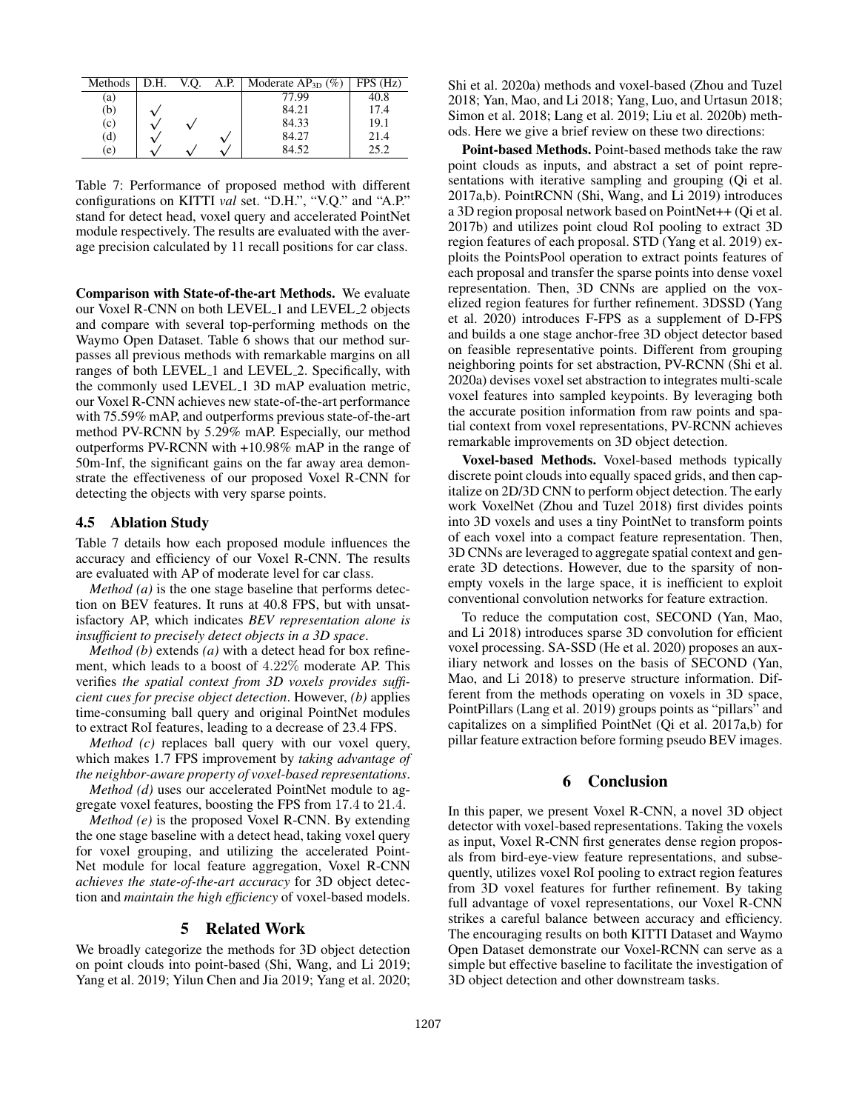| Methods | D.H. | V.O. | A.P. | Moderate $AP_{3D}$ (%) | FPS(Hz) |
|---------|------|------|------|------------------------|---------|
| (a)     |      |      |      | 77.99                  | 40.8    |
| (b)     |      |      |      | 84.21                  | 17.4    |
| (c)     |      |      |      | 84.33                  | 19.1    |
| (d)     |      |      |      | 84.27                  | 21.4    |
| (e)     |      |      |      | 84.52                  | 25.2    |

Table 7: Performance of proposed method with different configurations on KITTI *val* set. "D.H.", "V.Q." and "A.P." stand for detect head, voxel query and accelerated PointNet module respectively. The results are evaluated with the average precision calculated by 11 recall positions for car class.

Comparison with State-of-the-art Methods. We evaluate our Voxel R-CNN on both LEVEL<sub>1</sub> and LEVEL<sub>2</sub> objects and compare with several top-performing methods on the Waymo Open Dataset. Table 6 shows that our method surpasses all previous methods with remarkable margins on all ranges of both LEVEL<sub>1</sub> and LEVEL<sub>2</sub>. Specifically, with the commonly used LEVEL 1 3D mAP evaluation metric, our Voxel R-CNN achieves new state-of-the-art performance with 75.59% mAP, and outperforms previous state-of-the-art method PV-RCNN by 5.29% mAP. Especially, our method outperforms PV-RCNN with +10.98% mAP in the range of 50m-Inf, the significant gains on the far away area demonstrate the effectiveness of our proposed Voxel R-CNN for detecting the objects with very sparse points.

# 4.5 Ablation Study

Table 7 details how each proposed module influences the accuracy and efficiency of our Voxel R-CNN. The results are evaluated with AP of moderate level for car class.

*Method (a)* is the one stage baseline that performs detection on BEV features. It runs at 40.8 FPS, but with unsatisfactory AP, which indicates *BEV representation alone is insufficient to precisely detect objects in a 3D space*.

*Method (b)* extends *(a)* with a detect head for box refinement, which leads to a boost of 4.22% moderate AP. This verifies *the spatial context from 3D voxels provides sufficient cues for precise object detection*. However, *(b)* applies time-consuming ball query and original PointNet modules to extract RoI features, leading to a decrease of 23.4 FPS.

*Method (c)* replaces ball query with our voxel query, which makes 1.7 FPS improvement by *taking advantage of the neighbor-aware property of voxel-based representations*.

*Method (d)* uses our accelerated PointNet module to aggregate voxel features, boosting the FPS from 17.4 to 21.4.

*Method (e)* is the proposed Voxel R-CNN. By extending the one stage baseline with a detect head, taking voxel query for voxel grouping, and utilizing the accelerated Point-Net module for local feature aggregation, Voxel R-CNN *achieves the state-of-the-art accuracy* for 3D object detection and *maintain the high efficiency* of voxel-based models.

# 5 Related Work

We broadly categorize the methods for 3D object detection on point clouds into point-based (Shi, Wang, and Li 2019; Yang et al. 2019; Yilun Chen and Jia 2019; Yang et al. 2020;

Shi et al. 2020a) methods and voxel-based (Zhou and Tuzel 2018; Yan, Mao, and Li 2018; Yang, Luo, and Urtasun 2018; Simon et al. 2018; Lang et al. 2019; Liu et al. 2020b) methods. Here we give a brief review on these two directions:

Point-based Methods. Point-based methods take the raw point clouds as inputs, and abstract a set of point representations with iterative sampling and grouping (Qi et al. 2017a,b). PointRCNN (Shi, Wang, and Li 2019) introduces a 3D region proposal network based on PointNet++ (Qi et al. 2017b) and utilizes point cloud RoI pooling to extract 3D region features of each proposal. STD (Yang et al. 2019) exploits the PointsPool operation to extract points features of each proposal and transfer the sparse points into dense voxel representation. Then, 3D CNNs are applied on the voxelized region features for further refinement. 3DSSD (Yang et al. 2020) introduces F-FPS as a supplement of D-FPS and builds a one stage anchor-free 3D object detector based on feasible representative points. Different from grouping neighboring points for set abstraction, PV-RCNN (Shi et al. 2020a) devises voxel set abstraction to integrates multi-scale voxel features into sampled keypoints. By leveraging both the accurate position information from raw points and spatial context from voxel representations, PV-RCNN achieves remarkable improvements on 3D object detection.

Voxel-based Methods. Voxel-based methods typically discrete point clouds into equally spaced grids, and then capitalize on 2D/3D CNN to perform object detection. The early work VoxelNet (Zhou and Tuzel 2018) first divides points into 3D voxels and uses a tiny PointNet to transform points of each voxel into a compact feature representation. Then, 3D CNNs are leveraged to aggregate spatial context and generate 3D detections. However, due to the sparsity of nonempty voxels in the large space, it is inefficient to exploit conventional convolution networks for feature extraction.

To reduce the computation cost, SECOND (Yan, Mao, and Li 2018) introduces sparse 3D convolution for efficient voxel processing. SA-SSD (He et al. 2020) proposes an auxiliary network and losses on the basis of SECOND (Yan, Mao, and Li 2018) to preserve structure information. Different from the methods operating on voxels in 3D space, PointPillars (Lang et al. 2019) groups points as "pillars" and capitalizes on a simplified PointNet (Qi et al. 2017a,b) for pillar feature extraction before forming pseudo BEV images.

# 6 Conclusion

In this paper, we present Voxel R-CNN, a novel 3D object detector with voxel-based representations. Taking the voxels as input, Voxel R-CNN first generates dense region proposals from bird-eye-view feature representations, and subsequently, utilizes voxel RoI pooling to extract region features from 3D voxel features for further refinement. By taking full advantage of voxel representations, our Voxel R-CNN strikes a careful balance between accuracy and efficiency. The encouraging results on both KITTI Dataset and Waymo Open Dataset demonstrate our Voxel-RCNN can serve as a simple but effective baseline to facilitate the investigation of 3D object detection and other downstream tasks.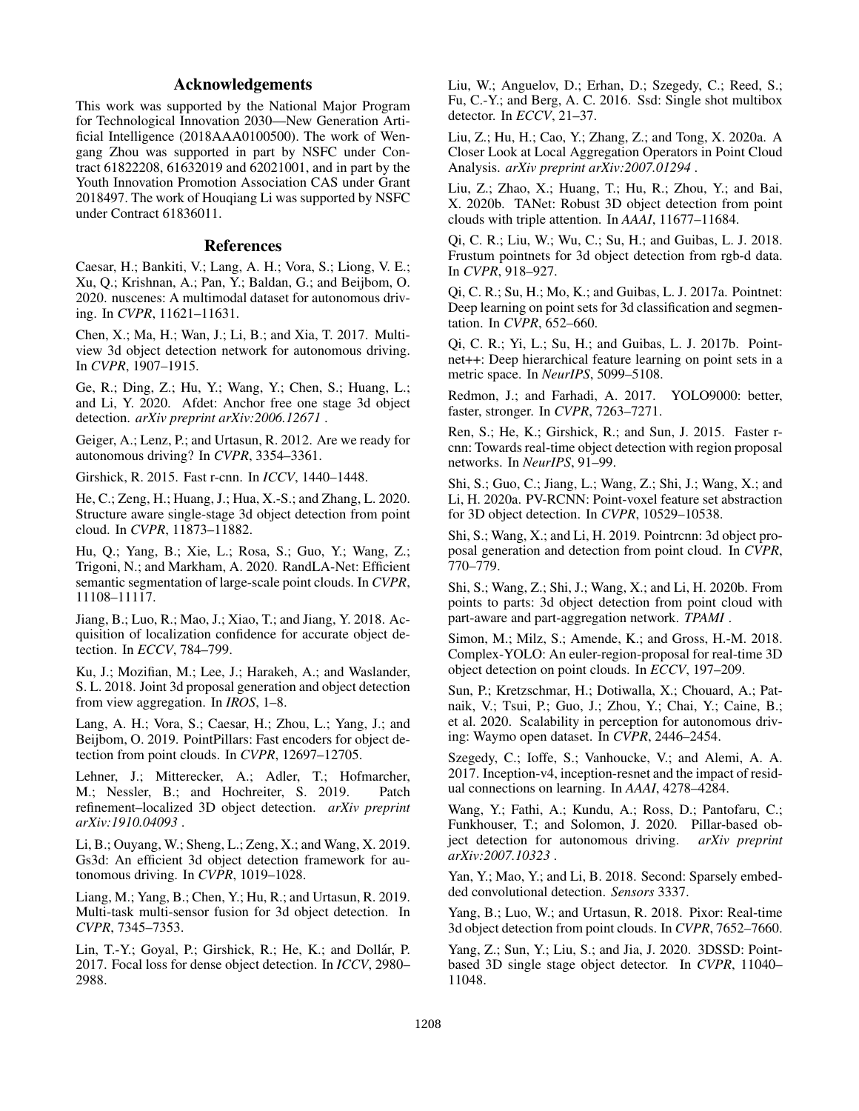# Acknowledgements

This work was supported by the National Major Program for Technological Innovation 2030—New Generation Artificial Intelligence (2018AAA0100500). The work of Wengang Zhou was supported in part by NSFC under Contract 61822208, 61632019 and 62021001, and in part by the Youth Innovation Promotion Association CAS under Grant 2018497. The work of Houqiang Li was supported by NSFC under Contract 61836011.

## References

Caesar, H.; Bankiti, V.; Lang, A. H.; Vora, S.; Liong, V. E.; Xu, Q.; Krishnan, A.; Pan, Y.; Baldan, G.; and Beijbom, O. 2020. nuscenes: A multimodal dataset for autonomous driving. In *CVPR*, 11621–11631.

Chen, X.; Ma, H.; Wan, J.; Li, B.; and Xia, T. 2017. Multiview 3d object detection network for autonomous driving. In *CVPR*, 1907–1915.

Ge, R.; Ding, Z.; Hu, Y.; Wang, Y.; Chen, S.; Huang, L.; and Li, Y. 2020. Afdet: Anchor free one stage 3d object detection. *arXiv preprint arXiv:2006.12671* .

Geiger, A.; Lenz, P.; and Urtasun, R. 2012. Are we ready for autonomous driving? In *CVPR*, 3354–3361.

Girshick, R. 2015. Fast r-cnn. In *ICCV*, 1440–1448.

He, C.; Zeng, H.; Huang, J.; Hua, X.-S.; and Zhang, L. 2020. Structure aware single-stage 3d object detection from point cloud. In *CVPR*, 11873–11882.

Hu, Q.; Yang, B.; Xie, L.; Rosa, S.; Guo, Y.; Wang, Z.; Trigoni, N.; and Markham, A. 2020. RandLA-Net: Efficient semantic segmentation of large-scale point clouds. In *CVPR*, 11108–11117.

Jiang, B.; Luo, R.; Mao, J.; Xiao, T.; and Jiang, Y. 2018. Acquisition of localization confidence for accurate object detection. In *ECCV*, 784–799.

Ku, J.; Mozifian, M.; Lee, J.; Harakeh, A.; and Waslander, S. L. 2018. Joint 3d proposal generation and object detection from view aggregation. In *IROS*, 1–8.

Lang, A. H.; Vora, S.; Caesar, H.; Zhou, L.; Yang, J.; and Beijbom, O. 2019. PointPillars: Fast encoders for object detection from point clouds. In *CVPR*, 12697–12705.

Lehner, J.; Mitterecker, A.; Adler, T.; Hofmarcher, M.; Nessler, B.; and Hochreiter, S. 2019. Patch refinement–localized 3D object detection. *arXiv preprint arXiv:1910.04093* .

Li, B.; Ouyang, W.; Sheng, L.; Zeng, X.; and Wang, X. 2019. Gs3d: An efficient 3d object detection framework for autonomous driving. In *CVPR*, 1019–1028.

Liang, M.; Yang, B.; Chen, Y.; Hu, R.; and Urtasun, R. 2019. Multi-task multi-sensor fusion for 3d object detection. In *CVPR*, 7345–7353.

Lin, T.-Y.; Goyal, P.; Girshick, R.; He, K.; and Dollár, P. 2017. Focal loss for dense object detection. In *ICCV*, 2980– 2988.

Liu, W.; Anguelov, D.; Erhan, D.; Szegedy, C.; Reed, S.; Fu, C.-Y.; and Berg, A. C. 2016. Ssd: Single shot multibox detector. In *ECCV*, 21–37.

Liu, Z.; Hu, H.; Cao, Y.; Zhang, Z.; and Tong, X. 2020a. A Closer Look at Local Aggregation Operators in Point Cloud Analysis. *arXiv preprint arXiv:2007.01294* .

Liu, Z.; Zhao, X.; Huang, T.; Hu, R.; Zhou, Y.; and Bai, X. 2020b. TANet: Robust 3D object detection from point clouds with triple attention. In *AAAI*, 11677–11684.

Qi, C. R.; Liu, W.; Wu, C.; Su, H.; and Guibas, L. J. 2018. Frustum pointnets for 3d object detection from rgb-d data. In *CVPR*, 918–927.

Qi, C. R.; Su, H.; Mo, K.; and Guibas, L. J. 2017a. Pointnet: Deep learning on point sets for 3d classification and segmentation. In *CVPR*, 652–660.

Qi, C. R.; Yi, L.; Su, H.; and Guibas, L. J. 2017b. Pointnet++: Deep hierarchical feature learning on point sets in a metric space. In *NeurIPS*, 5099–5108.

Redmon, J.; and Farhadi, A. 2017. YOLO9000: better, faster, stronger. In *CVPR*, 7263–7271.

Ren, S.; He, K.; Girshick, R.; and Sun, J. 2015. Faster rcnn: Towards real-time object detection with region proposal networks. In *NeurIPS*, 91–99.

Shi, S.; Guo, C.; Jiang, L.; Wang, Z.; Shi, J.; Wang, X.; and Li, H. 2020a. PV-RCNN: Point-voxel feature set abstraction for 3D object detection. In *CVPR*, 10529–10538.

Shi, S.; Wang, X.; and Li, H. 2019. Pointrenn: 3d object proposal generation and detection from point cloud. In *CVPR*, 770–779.

Shi, S.; Wang, Z.; Shi, J.; Wang, X.; and Li, H. 2020b. From points to parts: 3d object detection from point cloud with part-aware and part-aggregation network. *TPAMI* .

Simon, M.; Milz, S.; Amende, K.; and Gross, H.-M. 2018. Complex-YOLO: An euler-region-proposal for real-time 3D object detection on point clouds. In *ECCV*, 197–209.

Sun, P.; Kretzschmar, H.; Dotiwalla, X.; Chouard, A.; Patnaik, V.; Tsui, P.; Guo, J.; Zhou, Y.; Chai, Y.; Caine, B.; et al. 2020. Scalability in perception for autonomous driving: Waymo open dataset. In *CVPR*, 2446–2454.

Szegedy, C.; Ioffe, S.; Vanhoucke, V.; and Alemi, A. A. 2017. Inception-v4, inception-resnet and the impact of residual connections on learning. In *AAAI*, 4278–4284.

Wang, Y.; Fathi, A.; Kundu, A.; Ross, D.; Pantofaru, C.; Funkhouser, T.; and Solomon, J. 2020. Pillar-based object detection for autonomous driving. *arXiv preprint arXiv:2007.10323* .

Yan, Y.; Mao, Y.; and Li, B. 2018. Second: Sparsely embedded convolutional detection. *Sensors* 3337.

Yang, B.; Luo, W.; and Urtasun, R. 2018. Pixor: Real-time 3d object detection from point clouds. In *CVPR*, 7652–7660.

Yang, Z.; Sun, Y.; Liu, S.; and Jia, J. 2020. 3DSSD: Pointbased 3D single stage object detector. In *CVPR*, 11040– 11048.